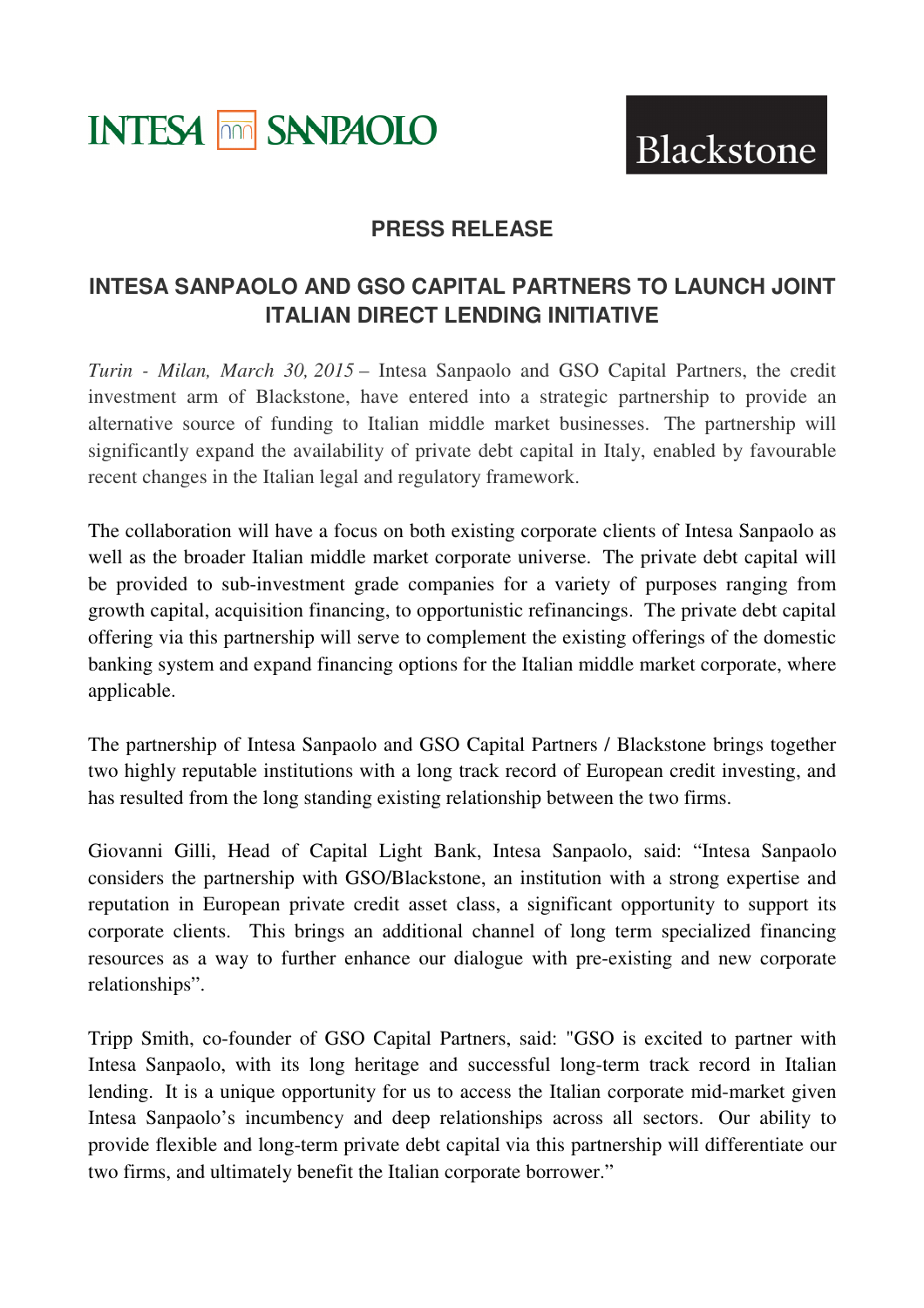# **INTESA MM SANPAOLO**

Blackstone

# **PRESS RELEASE**

# **INTESA SANPAOLO AND GSO CAPITAL PARTNERS TO LAUNCH JOINT ITALIAN DIRECT LENDING INITIATIVE**

*Turin - Milan, March 30, 2015* – Intesa Sanpaolo and GSO Capital Partners, the credit investment arm of Blackstone, have entered into a strategic partnership to provide an alternative source of funding to Italian middle market businesses. The partnership will significantly expand the availability of private debt capital in Italy, enabled by favourable recent changes in the Italian legal and regulatory framework.

The collaboration will have a focus on both existing corporate clients of Intesa Sanpaolo as well as the broader Italian middle market corporate universe. The private debt capital will be provided to sub-investment grade companies for a variety of purposes ranging from growth capital, acquisition financing, to opportunistic refinancings. The private debt capital offering via this partnership will serve to complement the existing offerings of the domestic banking system and expand financing options for the Italian middle market corporate, where applicable.

The partnership of Intesa Sanpaolo and GSO Capital Partners / Blackstone brings together two highly reputable institutions with a long track record of European credit investing, and has resulted from the long standing existing relationship between the two firms.

Giovanni Gilli, Head of Capital Light Bank, Intesa Sanpaolo, said: "Intesa Sanpaolo considers the partnership with GSO/Blackstone, an institution with a strong expertise and reputation in European private credit asset class, a significant opportunity to support its corporate clients. This brings an additional channel of long term specialized financing resources as a way to further enhance our dialogue with pre-existing and new corporate relationships".

Tripp Smith, co-founder of GSO Capital Partners, said: "GSO is excited to partner with Intesa Sanpaolo, with its long heritage and successful long-term track record in Italian lending. It is a unique opportunity for us to access the Italian corporate mid-market given Intesa Sanpaolo's incumbency and deep relationships across all sectors. Our ability to provide flexible and long-term private debt capital via this partnership will differentiate our two firms, and ultimately benefit the Italian corporate borrower."